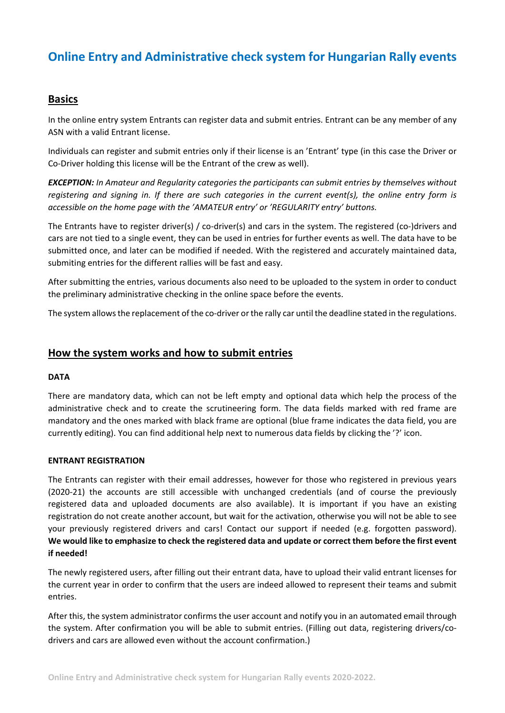# **Online Entry and Administrative check system for Hungarian Rally events**

## **Basics**

In the online entry system Entrants can register data and submit entries. Entrant can be any member of any ASN with a valid Entrant license.

Individuals can register and submit entries only if their license is an 'Entrant' type (in this case the Driver or Co‐Driver holding this license will be the Entrant of the crew as well).

*EXCEPTION: In Amateur and Regularity categories the participants can submit entries by themselves without registering and signing in. If there are such categories in the current event(s), the online entry form is accessible on the home page with the 'AMATEUR entry' or 'REGULARITY entry' buttons.* 

The Entrants have to register driver(s) / co-driver(s) and cars in the system. The registered (co-)drivers and cars are not tied to a single event, they can be used in entries for further events as well. The data have to be submitted once, and later can be modified if needed. With the registered and accurately maintained data, submiting entries for the different rallies will be fast and easy.

After submitting the entries, various documents also need to be uploaded to the system in order to conduct the preliminary administrative checking in the online space before the events.

The system allows the replacement of the co-driver or the rally car until the deadline stated in the regulations.

## **How the system works and how to submit entries**

#### **DATA**

There are mandatory data, which can not be left empty and optional data which help the process of the administrative check and to create the scrutineering form. The data fields marked with red frame are mandatory and the ones marked with black frame are optional (blue frame indicates the data field, you are currently editing). You can find additional help next to numerous data fields by clicking the '?' icon.

#### **ENTRANT REGISTRATION**

The Entrants can register with their email addresses, however for those who registered in previous years (2020‐21) the accounts are still accessible with unchanged credentials (and of course the previously registered data and uploaded documents are also available). It is important if you have an existing registration do not create another account, but wait for the activation, otherwise you will not be able to see your previously registered drivers and cars! Contact our support if needed (e.g. forgotten password). **We would like to emphasize to check the registered data and update or correct them before the first event if needed!** 

The newly registered users, after filling out their entrant data, have to upload their valid entrant licenses for the current year in order to confirm that the users are indeed allowed to represent their teams and submit entries.

After this, the system administrator confirms the user account and notify you in an automated email through the system. After confirmation you will be able to submit entries. (Filling out data, registering drivers/codrivers and cars are allowed even without the account confirmation.)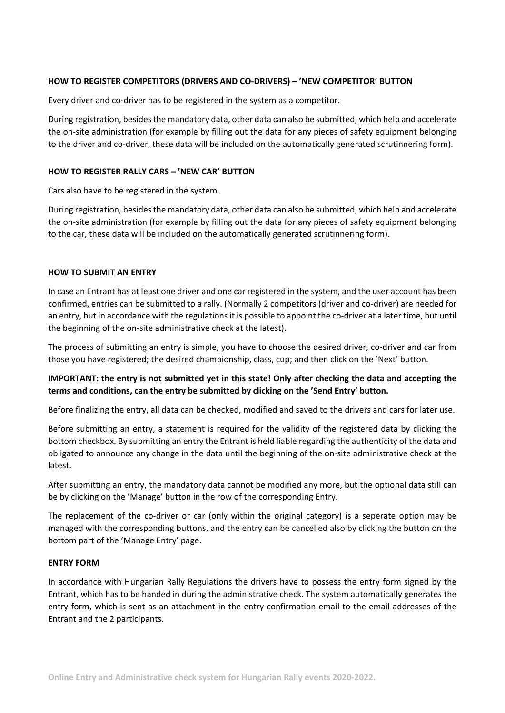#### **HOW TO REGISTER COMPETITORS (DRIVERS AND CO‐DRIVERS) – 'NEW COMPETITOR' BUTTON**

Every driver and co-driver has to be registered in the system as a competitor.

During registration, besides the mandatory data, other data can also be submitted, which help and accelerate the on‐site administration (for example by filling out the data for any pieces of safety equipment belonging to the driver and co-driver, these data will be included on the automatically generated scrutinnering form).

#### **HOW TO REGISTER RALLY CARS – 'NEW CAR' BUTTON**

Cars also have to be registered in the system.

During registration, besides the mandatory data, other data can also be submitted, which help and accelerate the on-site administration (for example by filling out the data for any pieces of safety equipment belonging to the car, these data will be included on the automatically generated scrutinnering form).

#### **HOW TO SUBMIT AN ENTRY**

In case an Entrant has at least one driver and one car registered in the system, and the user account has been confirmed, entries can be submitted to a rally. (Normally 2 competitors (driver and co‐driver) are needed for an entry, but in accordance with the regulations it is possible to appoint the co-driver at a later time, but until the beginning of the on‐site administrative check at the latest).

The process of submitting an entry is simple, you have to choose the desired driver, co-driver and car from those you have registered; the desired championship, class, cup; and then click on the 'Next' button.

#### **IMPORTANT: the entry is not submitted yet in this state! Only after checking the data and accepting the terms and conditions, can the entry be submitted by clicking on the 'Send Entry' button.**

Before finalizing the entry, all data can be checked, modified and saved to the drivers and cars for later use.

Before submitting an entry, a statement is required for the validity of the registered data by clicking the bottom checkbox. By submitting an entry the Entrant is held liable regarding the authenticity of the data and obligated to announce any change in the data until the beginning of the on‐site administrative check at the latest.

After submitting an entry, the mandatory data cannot be modified any more, but the optional data still can be by clicking on the 'Manage' button in the row of the corresponding Entry.

The replacement of the co-driver or car (only within the original category) is a seperate option may be managed with the corresponding buttons, and the entry can be cancelled also by clicking the button on the bottom part of the 'Manage Entry' page.

#### **ENTRY FORM**

In accordance with Hungarian Rally Regulations the drivers have to possess the entry form signed by the Entrant, which has to be handed in during the administrative check. The system automatically generates the entry form, which is sent as an attachment in the entry confirmation email to the email addresses of the Entrant and the 2 participants.